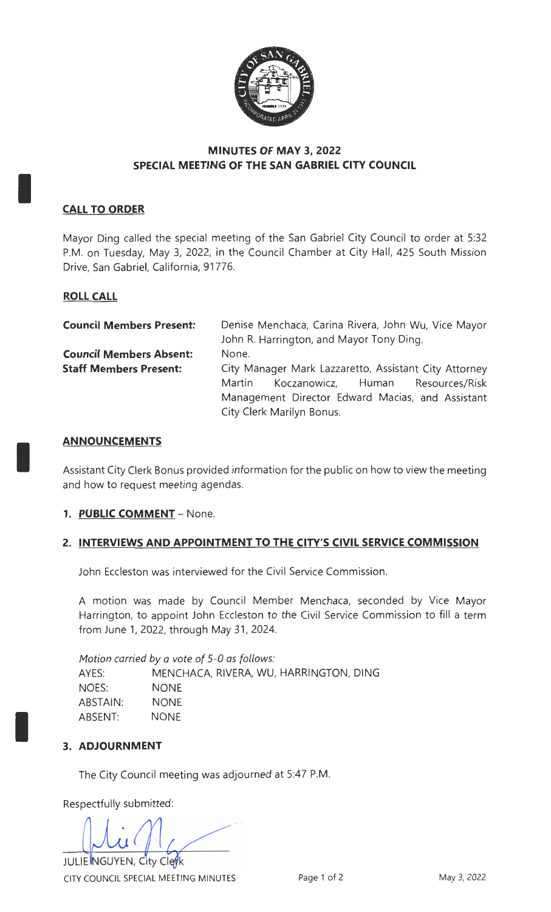

# **MINUTES OF MAY 3, 2022 SPECIAL MEETING OF THE SAN GABRIEL CITY COUNCIL**

# **CALL TO ORDER**

I

I

I

Mayor Ding called the special meeting of the San Gabriel City Council to order at 5:32 P.M. on Tuesday, May 3, 2022, in the Council Chamber at City Hall, 425 South Mission Drive, San Gabriel, California, 91776.

### **ROLL CALL**

| <b>Council Members Present:</b> | Denise Menchaca, Carina Rivera, John Wu, Vice Mayor   |
|---------------------------------|-------------------------------------------------------|
|                                 | John R. Harrington, and Mayor Tony Ding.              |
| <b>Council Members Absent:</b>  | None.                                                 |
| <b>Staff Members Present:</b>   | City Manager Mark Lazzaretto, Assistant City Attorney |
|                                 | Koczanowicz, Human Resources/Risk<br>Martin           |
|                                 | Management Director Edward Macias, and Assistant      |
|                                 | City Clerk Marilyn Bonus.                             |

#### **AN NOU NCEM ENTS**

Assistant City Clerk Bonus provided information for the public on how to view the meeting and how to request meeting agendas.

#### **1. PUBLIC COMMENT -** None.

#### **2. INTERVIEWS AND APPOINTMENT TO THE CITY'S CIVIL SERVICE COMMISSION**

John Eccleston was interviewed for the Civil Service Commission.

A motion was made by Council Member Menchaca, seconded by Vice Mayor Harrington, to appoint John Eccleston to the Civil Service Commission to fill a term from June 1, 2022, through May 31, 2024.

*Motion carried by a vote of* 5-0 *as follows:*  AYES: MENCHACA, RIVERA, WU, HARRINGTON, DING NOES: NONE ABSTAIN: ABSENT: **NONE** NONE

#### **3. ADJOURNMENT**

The City Council meeting was adjourned at 5:47 P.M.

Respectfully submitted:

JULIE NGUYEN, City Clerk

CITY COUNCIL SPECIAL MEETING MINUTES Page 1 of 2 May 3, 2022